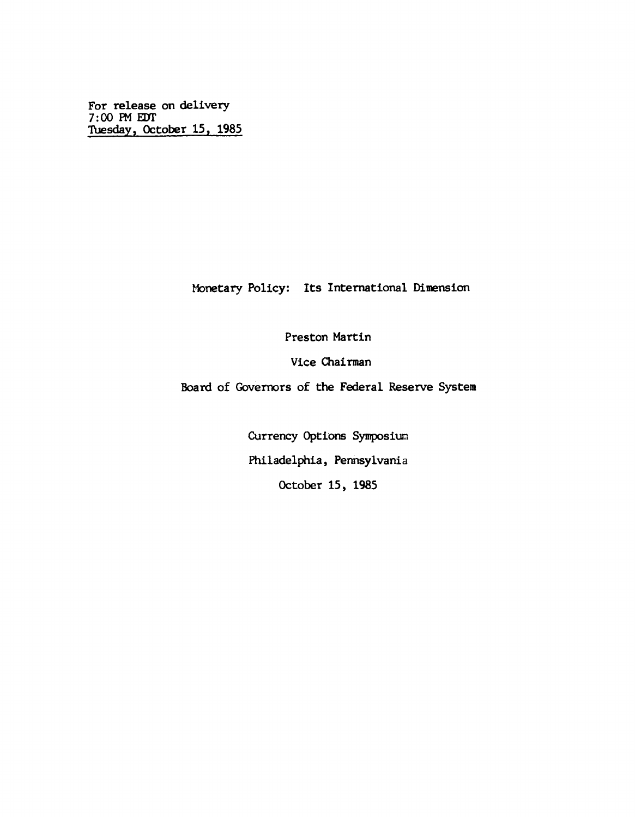**For release on delivery 7:00 PM EOT Tuesday, October 15, 1985**

**Monetary Policy: Its International Dimension**

**Preston Martin**

**Vice Chairman**

**Board of Governors of the Federal Reserve System**

**Currency Options Symposium Philadelphia, Pennsylvania October 15, 1985**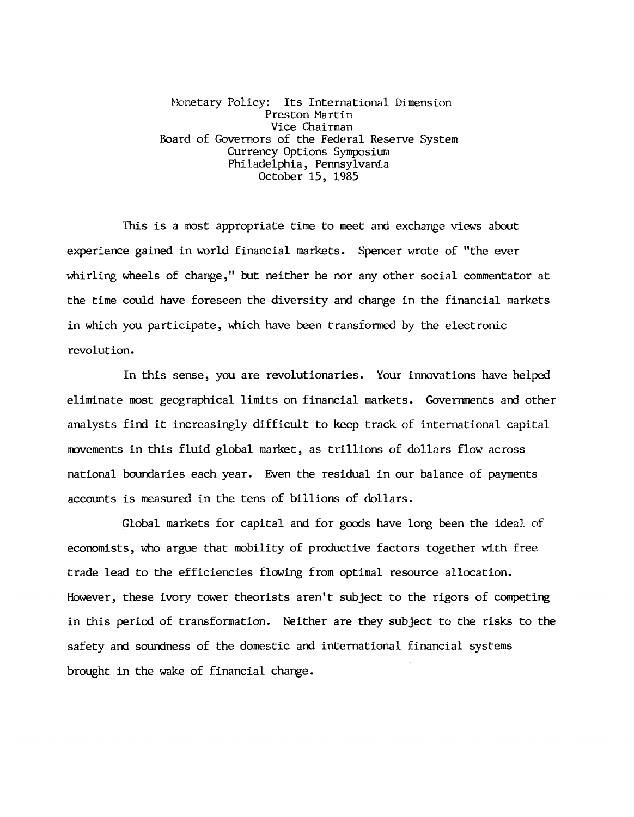**Monetary Policy: Its International Dimension Preston Martin Vice Chairman Board of Governors of the Federal Reserve System Currency Options Symposium Philadelphia, Pennsylvania October 15, 1985**

**This is a most appropriate time to meet and exchange views about experience gained in world financial markets. Spencer wrote of "the ever whirling wheels of change," but neither he nor any other social commentator at the time could have foreseen the diversity and change in the financial markets in which you participate, which have been transformed by the electronic revolution.**

**In this sense, you are revolutionaries. Your innovations have helped eliminate most geographical limits on financial markets. Governments and other analysts find it increasingly difficult to keep track of international capital movements in this fluid global market, as trillions of dollars flow across national boundaries each year. Even the residual in our balance of payments accounts is measured in the tens of billions of dollars.**

**Global markets for capital and for goods have long been the ideal of economists, who argue that mobility of productive factors together with free trade lead to the efficiencies flowing from optimal resource allocation. However, these ivory tower theorists aren't subject to the rigors of competing in this period of transformation. Neither are they subject to the risks to the safety and soundness of the domestic and international financial systems** brought in the wake of financial change.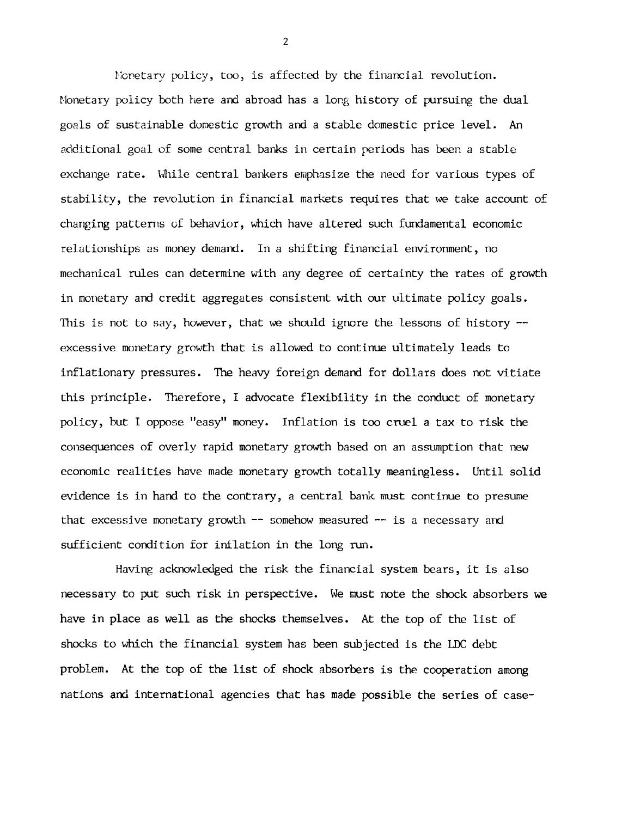**Monetary policy, too, is affected by the financial revolution. Monetary policy both here and abroad has a long history of pursuing the dual goals of sustainable domestic growth and a stable domestic price level. An additional goal of some central banks in certain periods has been a stable exchange rate. While central bankers emphasize the need for various types of stability, the revolution in financial markets requires that we take account of changing patterns of behavior, which have altered such fundamental economic relationships as money demand. In a shifting financial environment, no mechanical rules can determine with any degree of certainty the rates of growth in monetary and credit aggregates consistent with our ultimate policy goals. This is not to say, however, that we should ignore the lessons of history excessive monetary growth that is allowed to continue ultimately leads to inflationary pressures. The heavy foreign demand for dollars does not vitiate this principle. Therefore, I advocate flexibility in the conduct of monetary policy, but I oppose "easy" money. Inflation is too cruel a tax to risk the consequences of overly rapid monetary growth based on an assumption that new economic realities have made monetary growth totally meaningless. Until solid evidence is in hand to the contrary, a central bank must continue to presume that excessive monetary growth — somehow measured — is a necessary and sufficient condition for inflation in the long run.**

**Having acknowledged the risk the financial system bears, it is also necessary to put such risk in perspective. We must note the shock absorbers we have in place as well as the shocks themselves. At the top of the list of shocks to which the financial system has been subjected is the LDC debt problem. At the top of the list of shock absorbers is the cooperation among nations and international agencies that has made possible the series of case-**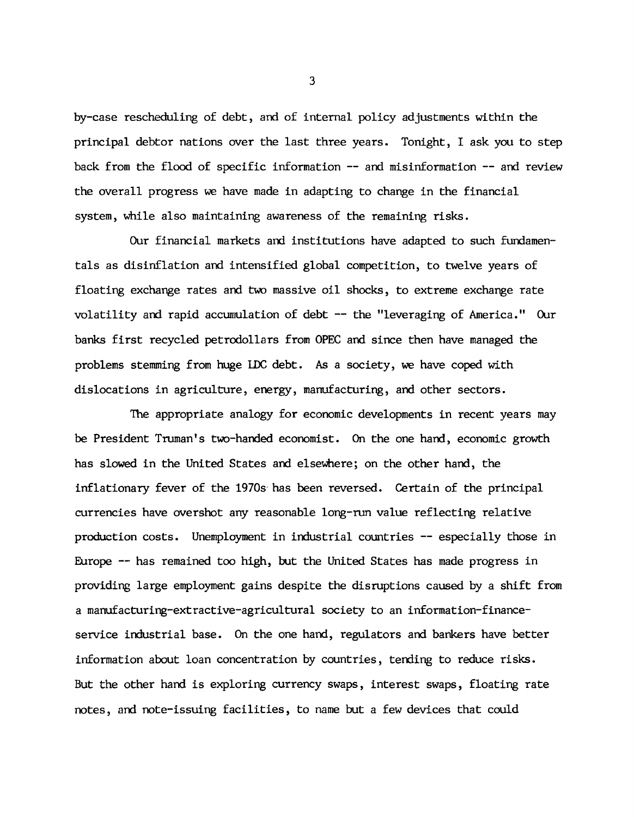**by-case rescheduling of debt, and of internal policy adjustments within the principal debtor nations over the last three years. Tonight, I ask you to step back from the flood of specific information — and misinformation — and review the overall progress we have made in adapting to change in the financial system, while also maintaining awareness of the remaining risks.**

**Our financial markets and institutions have adapted to such fundamentals as disinflation and intensified global competition, to twelve years of floating exchange rates and two massive oil shocks, to extreme exchange rate volatility and rapid accumulation of debt — the "leveraging of America." Our banks first recycled petrodollars from OPEC and since then have managed the problems stemming from huge 1DC debt. As a society, we have coped with dislocations in agriculture, energy, manufacturing, and other sectors.**

**The appropriate analogy for economic developments in recent years may be President Truman's two-handed economist. On the one hand, economic growth has slowed in the United States and elsewhere; on the other hand, the inflationary fever of the 1970s has been reversed. Certain of the principal currencies have overshot any reasonable long-run value reflecting relative production costs. Unemployment in industrial countries — especially those in Europe — has remained too high, but the United States has made progress in providing large employment gains despite the disruptions caused by a shift from a manufacturing-extractive-agricultural society to an information-financeservice industrial base. On the one hand, regulators and bankers have better information about loan concentration by countries, tending to reduce risks. But the other hand is exploring currency swaps, interest swaps, floating rate notes, and note-issuing facilities, to name but a few devices that could**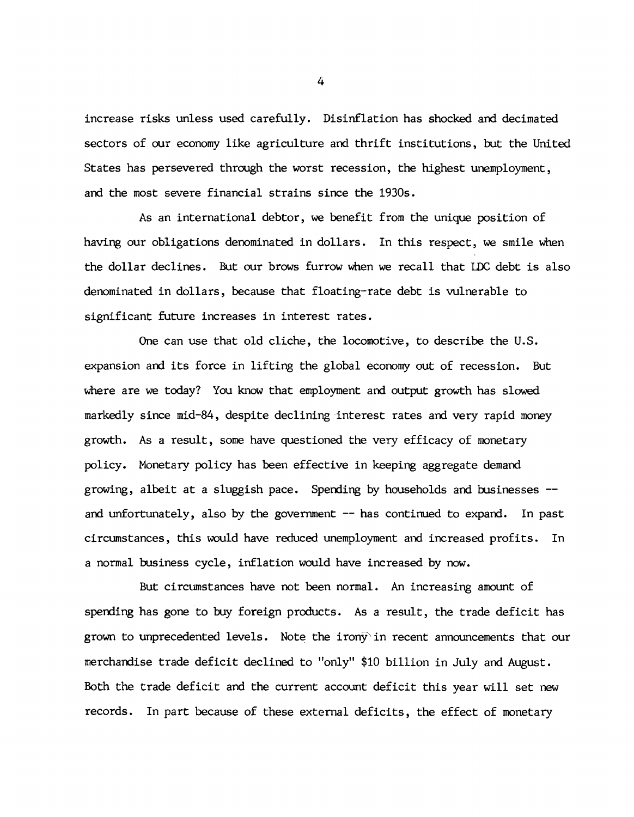**increase risks unless used carefully. Disinflation has shocked and decimated sectors of our economy like agriculture and thrift institutions, but the United States has persevered through the worst recession, the highest unemployment, and the most severe financial strains since the 1930s.**

**As an international debtor, we benefit from the unique position of having our obligations denominated in dollars. In this respect, we smile when the dollar declines. But our brows furrow when we recall that LDC debt is also denominated in dollars, because that floating-rate debt is vulnerable to significant future increases in interest rates.**

**One can use that old cliche, the locomotive, to describe the U.S. expansion and its force in lifting the global economy out of recession. But where are we today? You know that employment and output growth has slowed markedly since mid-84, despite declining interest rates and very rapid money growth. As a result, some have questioned the very efficacy of monetary policy. Monetary policy has been effective in keeping aggregate demand growing, albeit at a sluggish pace. Spending by households and businesses and unfortunately, also by the government — has continued to expand. In past circumstances, this would have reduced unemployment and increased profits. In a normal business cycle, inflation would have increased by now.**

**But circumstances have not been normal. An increasing amount of spending has gone to buy foreign products. As a result, the trade deficit has grown to unprecedented levels. Note the irony'in recent announcements that our merchandise trade deficit declined to "only" \$10 billion in July and August. Both the trade deficit and the current account deficit this year will set new records. In part because of these external deficits, the effect of monetary**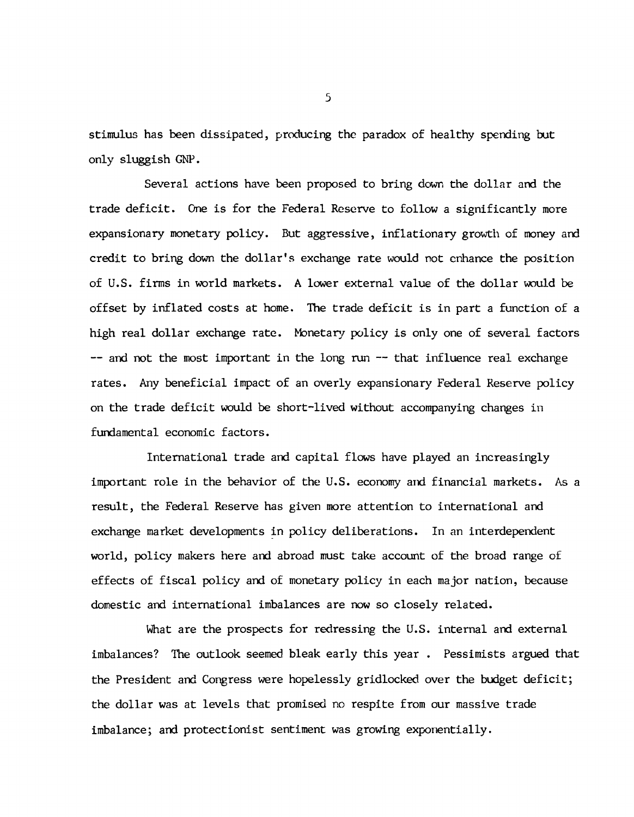**stimulus has been dissipated, producing the paradox of healthy spending but only sluggish GNP.**

**Several actions have been proposed to bring down the dollar and the trade deficit. One is for the Federal Reserve to follow a significantly more expansionary monetary policy. But aggressive, inflationary growth of money and credit to bring down the dollar's exchange rate would not enhance the position of U.S. firms in world markets. A lower external value of the dollar would be offset by inflated costs at home. The trade deficit is in part a function of a high real dollar exchange rate. Monetary policy is only one of several factors — and not the most important in the long run — that influence real exchange rates. Any beneficial impact of an overly expansionary Federal Reserve policy on the trade deficit would be short-lived without accompanying changes in fundamental economic factors.**

**International trade and capital flows have played an increasingly important role in the behavior of the U.S. economy and financial markets. As a result, the Federal Reserve has given more attention to international and exchange market developments in policy deliberations. In an interdependent world, policy makers here and abroad must take account of the broad range of effects of fiscal policy and of monetary policy in each major nation, because domestic and international imbalances are now so closely related.**

**What are the prospects for redressing the U.S. internal and external imbalances? The outlook seemed bleak early this year . Pessimists argued that the President and Congress were hopelessly gridlocked over the budget deficit; the dollar was at levels that promised no respite from our massive trade imbalance; and protectionist sentiment was growing exponentially.**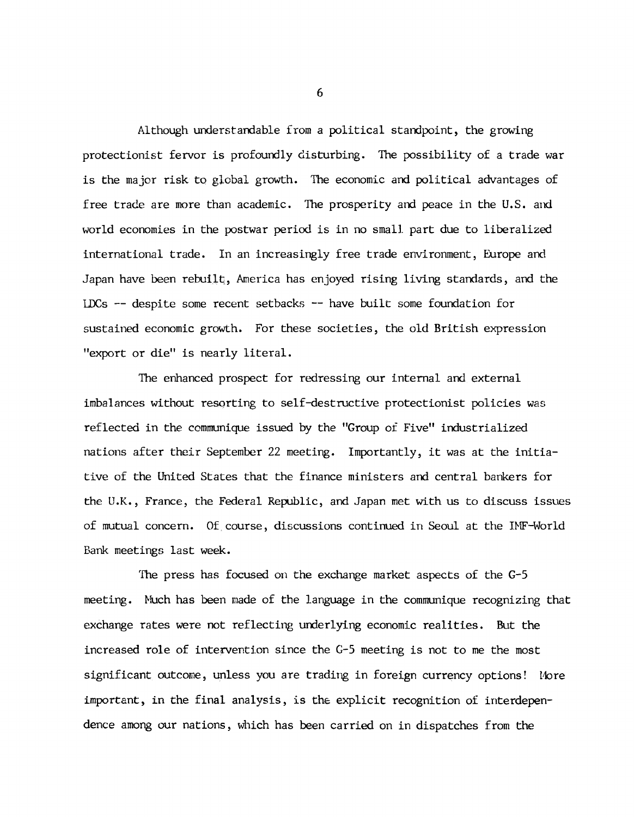**Although understandable from a political standpoint, the growing protectionist fervor is profoundly disturbing. The possibility of a trade war is the major risk to global growth. The economic and political advantages of free trade are more than academic. The prosperity and peace in the U.S. and world economies in the postwar period is in no small part due to liberalized international trade. In an increasingly free trade environment, Europe and Japan have been rebuilt, America has enjoyed rising living standards, and the LDCs — despite some recent setbacks — have built some foundation for sustained economic growth. For these societies, the old British expression "export or die" is nearly literal.**

**The enhanced prospect for redressing our internal and external imbalances without resorting to self-destructive protectionist policies was reflected in the communique issued by the "Group of Five" industrialized nations after their September 22 meeting. Importantly, it was at the initiative of the United States that the finance ministers and central bankers for the U.K., France, the Federal Republic, and Japan met with us to discuss issues of mutual concern. Of course, discussions continued in Seoul at the IMF-World Bank meetings last week.**

The press has focused on the exchange market aspects of the G-5 **meeting. Much has been made of the language in the communique recognizing that exchange rates were not reflecting underlying economic realities. But the increased role of intervention since the G-5 meeting is not to me the most significant outcome, unless you are trading in foreign currency options! More important, in the final analysis, is the explicit recognition of interdependence among our nations, which has been carried on in dispatches from the**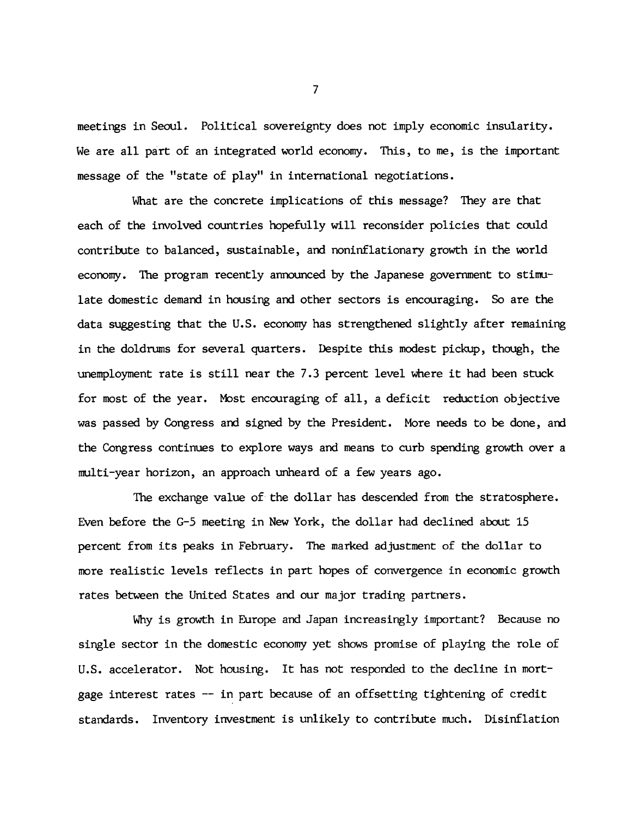**meetings in Seoul. Political sovereignty does not imply economic insularity. We are all part of an integrated world economy. This, to me, is the important message of the "state of play" in international negotiations.**

**What are the concrete implications of this message? They are that each of the involved countries hopefully will reconsider policies that could contribute to balanced, sustainable, and noninflationary growth in the world economy. The program recently announced by the Japanese government to stimulate domestic demand in housing and other sectors is encouraging. So are the data suggesting that the U.S. economy has strengthened slightly after remaining in the doldrums for several quarters. Despite this modest pickup, though, the unemployment rate is still near the 7.3 percent level** *where* **it had been stuck for most of the year. Most encouraging of all, a deficit reduction objective was passed by Congress and signed by the President. More needs to be done, and the Congress continues to explore ways and means to curb spending growth over a multi-year horizon, an approach unheard of a few years ago.**

**The exchange value of the dollar has descended from the stratosphere. Even before the G-5 meeting in New York, the dollar had declined about 15 percent from its peaks in February. The marked adjustment of the dollar to more realistic levels reflects in part hopes of convergence in economic growth rates between the United States and our major trading partners.**

**Why is growth in Europe and Japan increasingly important? Because no single sector in the domestic economy yet shows promise of playing the role of U.S. accelerator. Not housing. It has not responded to the decline in mortgage interest rates — in part because of an offsetting tightening of credit standards. Inventory investment is unlikely to contribute much. Disinflation**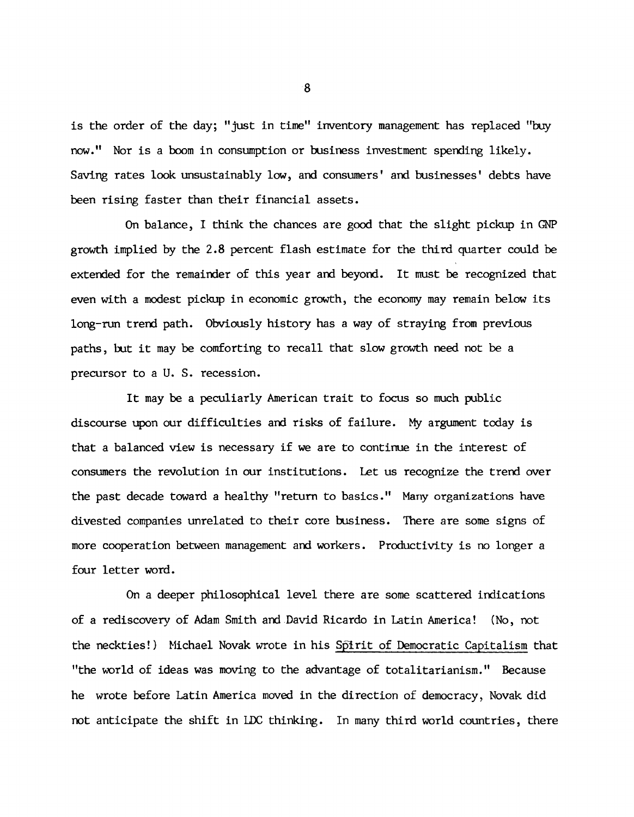**is the order of the day; "just in time" inventory management has replaced "buy now." Nor is a boom in consumption or business investment spending likely. Saving rates look unsustainably low, and consumers' and businesses' debts have been rising faster than their financial assets.**

**On balance, I think the chances are good that the slight pickup in CM5 growth implied by the 2.8 percent flash estimate for the third quarter could be extended for the remainder of this year and beyond. It must be recognized that even with a modest pickup in economic growth, the economy may remain below its long-run trend path. Obviously history has a way of straying from previous paths, but it may be comforting to recall that slow growth need not be a precursor to a U. S. recession.**

**It may be a peculiarly American trait to focus so much public discourse upon our difficulties and risks of failure. My argument today is that a balanced view is necessary if we are to continue in the interest of consumers the revolution in our institutions. Let us recognize the trend over the past decade toward a healthy "return to basics." Many organizations have divested companies unrelated to their core business. There are some signs of more cooperation between management and workers. Productivity is no longer a four letter word.**

**On a deeper philosophical level there are some scattered indications of a rediscovery of Adam Smith and David Ricardo in Latin America! (No, not the neckties!) Michael Novak wrote in his Spirit of Democratic Capitalism that "the world of ideas was moving to the advantage of totalitarianism." Because he wrote before Latin America moved in the direction of democracy, Novak did not anticipate the shift in LDC thinking. In many third world countries, there**